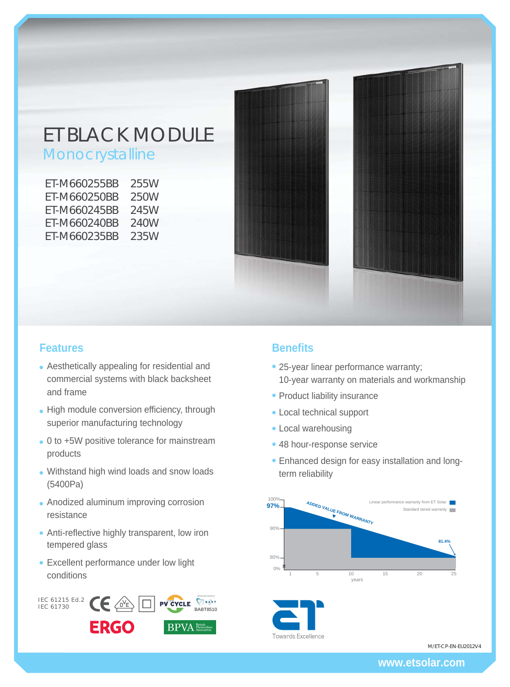# ET BLACK MODULE

Monocrystalline

| ET-M660255BB | 255W |
|--------------|------|
| FT-M660250BB | 250W |
| FT-M660245BB | 245W |
| FT-M660240BB | 240W |
| FT-M660235BB | 235W |



# **Features Benefits**

- Aesthetically appealing for residential and commercial systems with black backsheet and frame
- High module conversion efficiency, through superior manufacturing technology
- 0 to +5W positive tolerance for mainstream products
- Withstand high wind loads and snow loads (5400Pa)
- Anodized aluminum improving corrosion resistance
- Anti-reflective highly transparent, low iron tempered glass
- Excellent performance under low light conditions



- 25-year linear performance warranty; 10-year warranty on materials and workmanship
- Product liability insurance
- Local technical support
- Local warehousing
- 48 hour-response service
- Enhanced design for easy installation and longterm reliability



M/ET-CP-EN-EU2012V4